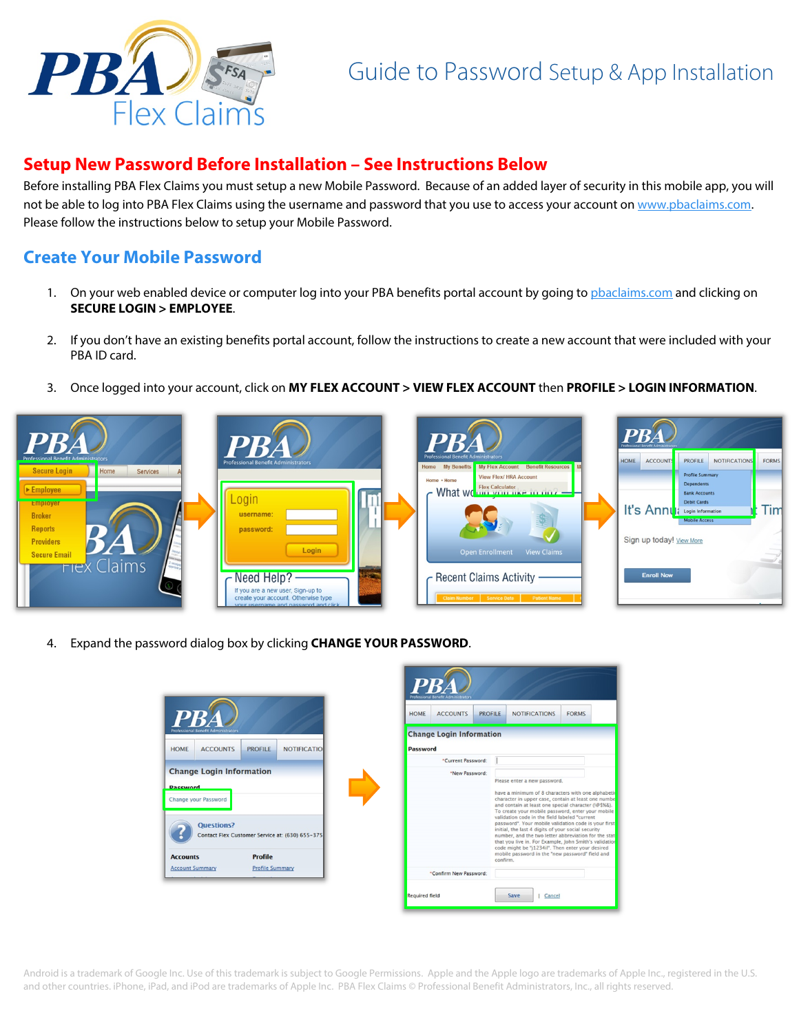

# Guide to Password Setup & App Installation

## **Setup New Password Before Installation – See Instructions Below**

Before installing PBA Flex Claims you must setup a new Mobile Password. Because of an added layer of security in this mobile app, you will not be able to log into PBA Flex Claims using the username and password that you use to access your account on www.pbaclaims.com. Please follow the instructions below to setup your Mobile Password.

#### **Create Your Mobile Password**

- 1. On your web enabled device or computer log into your PBA benefits portal account by going to phaclaims.com and clicking on **SECURE LOGIN > EMPLOYEE**.
- 2. If you don't have an existing benefits portal account, follow the instructions to create a new account that were included with your PBA ID card.
- 3. Once logged into your account, click on **MY FLEX ACCOUNT > VIEW FLEX ACCOUNT** then **PROFILE > LOGIN INFORMATION**.



4. Expand the password dialog box by clicking **CHANGE YOUR PASSWORD**.